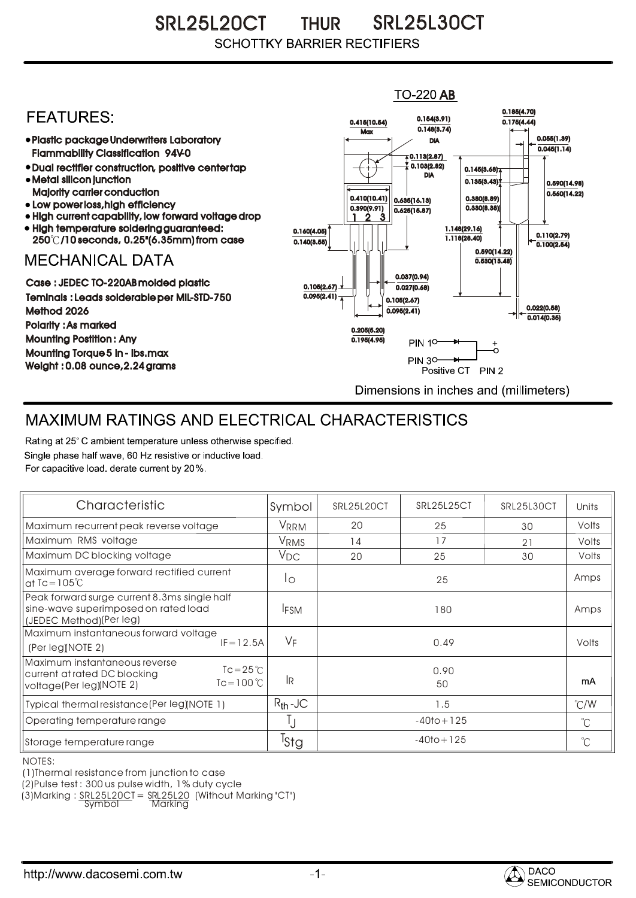SRL25L20CT THUR SRL25L30CT **SCHOTTKY BARRIER RECTIFIERS** 

## $TO-220$  AB 0.185(4.70) **FFATURFS:** 0.154(3.91) 0.415(10.54) 0.175(4.44)  $0.148(3.74)$ **Max** Plastic package Underwriters Laboratory 0.055(1.39) DIA  $0.045(1.14)$ Flammability Classification 94V-0  $\overline{4}$  0.113(2.87) 0.103(2.82) Dual rectifier construction, positive center tap 0.145(3.68) DIA Metal silicon junction  $0.135(3.43)$ 0.590(14.98) Majority carrier conduction  $0.560(14.22)$ 0.410(10.41) 0.380(8.89) 0.635(16.13) • Low power loss, high efficiency 0.330(8.38)) 0.390(9.91)  $0.625(15.87)$ High current capability, low forward voltage drop 1 3 2 High temperature soldering guaranteed: 1.148(29.16) 0.160(4.05) 0.110(2.79) 250 /10 seconds, 0.25"(6.35mm) from case 1.118(28.40) 0.140(3.55)  $\overline{0.100(2.54)}$ 0.590(14.22) **MECHANICAL DATA**  $0.530(13.48)$ 0.037(0.94) Case : JEDEC TO-220AB molded plastic 0.105(2.67)  $0.027(0.68)$ Teminals : Leads solderable per MIL-STD-750  $0.095(2.41)$ 0.105(2.67) 0.022(0.58) Method 2026  $0.095(2.41)$  $0.014(0.35)$ Polarity : As marked 0.205(5.20) Mounting Postition : Any 0.195(4.95) **PIN 10-** $_{\circ}^{+}$ Mounting Torque 5 in - lbs.max **PIN 30-**Weight : 0.08 ounce,2.24 grams Positive CT PIN 2 Dimensions in inches and (millimeters)

## MAXIMUM RATINGS AND ELECTRICAL CHARACTERISTICS

Rating at 25° C ambient temperature unless otherwise specified. Single phase half wave, 60 Hz resistive or inductive load. For capacitive load, derate current by 20%.

| Characteristic                                                                                                                  | Symbol           | SRL25L20CT     | SRL25L25CT | SRL25L30CT  | Units         |
|---------------------------------------------------------------------------------------------------------------------------------|------------------|----------------|------------|-------------|---------------|
| Maximum recurrent peak reverse voltage                                                                                          | VRRM             | 20             | 25         | 30          | Volts         |
| Maximum RMS voltage                                                                                                             | V <sub>RMS</sub> | 14             | 17         | 21          | Volts         |
| Maximum DC blocking voltage                                                                                                     | $V_{DC}$         | 20             | 25         | 30          | Volts         |
| Maximum average forward rectified current<br>at $Tc = 105^{\circ}C$                                                             | Ιo               | 25             |            |             | Amps          |
| Peak forward surge current 8.3ms single half<br>sine-wave superimposed on rated load<br>(JEDEC Method)(Per leg)                 | <b>IFSM</b>      | 180            |            |             | Amps          |
| Maximum instantaneous forward voltage<br>$IF = 12.5A$<br>(Per leg) NOTE 2)                                                      | $V_F$            |                | 0.49       |             | Volts         |
| Maximum instantaneous reverse<br>$Tc = 25^{\circ}$<br>current at rated DC blocking<br>$Tc = 100 °C$<br>voltage(Per leg)(NOTE 2) | <b>IR</b>        | 0.90<br>50     |            |             | mA            |
| Typical thermal resistance (Per leg)(NOTE 1)                                                                                    | $R_{th}$ -JC     | 1.5            |            |             | $\degree$ C/W |
| Operating temperature range                                                                                                     | IJ               | $-40$ to + 125 |            | $^{\circ}C$ |               |
| Storage temperature range                                                                                                       | <sup>I</sup> Stg | $-40$ to + 125 |            |             | $^{\circ}C$   |

NOTES:

(1)Thermal resistance from junction to case

(2)Pulse test : 300 us pulse width, 1% duty cycle

(3)Marking : <u>SRL25L20C</u>T = <u>SRL25L20</u> (Without Marking"CT")

Symbol Marking